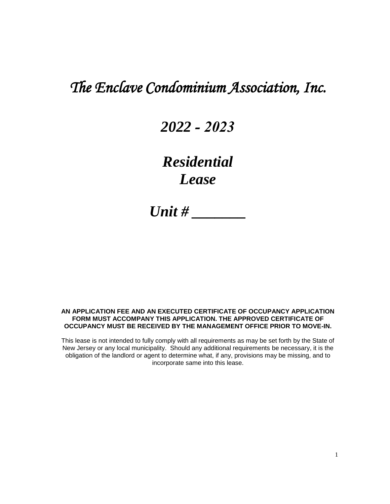# *The Enclave Condominium Association, Inc.*

# *2022 - 2023*

# *Residential Lease*

*Unit # \_\_\_\_\_\_\_* 

#### **AN APPLICATION FEE AND AN EXECUTED CERTIFICATE OF OCCUPANCY APPLICATION FORM MUST ACCOMPANY THIS APPLICATION. THE APPROVED CERTIFICATE OF OCCUPANCY MUST BE RECEIVED BY THE MANAGEMENT OFFICE PRIOR TO MOVE-IN.**

This lease is not intended to fully comply with all requirements as may be set forth by the State of New Jersey or any local municipality. Should any additional requirements be necessary, it is the obligation of the landlord or agent to determine what, if any, provisions may be missing, and to incorporate same into this lease.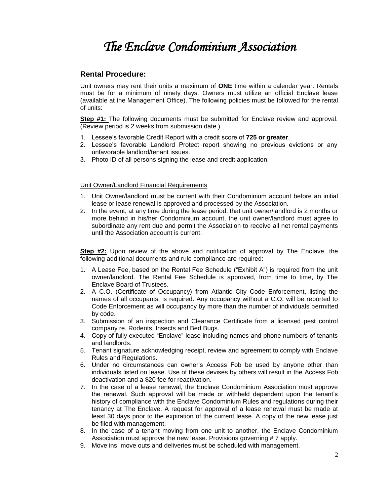# *The Enclave Condominium Association*

# **Rental Procedure:**

Unit owners may rent their units a maximum of **ONE** time within a calendar year. Rentals must be for a minimum of ninety days. Owners must utilize an official Enclave lease (available at the Management Office). The following policies must be followed for the rental of units:

**Step #1:** The following documents must be submitted for Enclave review and approval. (Review period is 2 weeks from submission date.)

- 1. Lessee's favorable Credit Report with a credit score of **725 or greater**.
- 2. Lessee's favorable Landlord Protect report showing no previous evictions or any unfavorable landlord/tenant issues.
- 3. Photo ID of all persons signing the lease and credit application.

## Unit Owner/Landlord Financial Requirements

- 1. Unit Owner/landlord must be current with their Condominium account before an initial lease or lease renewal is approved and processed by the Association.
- 2. In the event, at any time during the lease period, that unit owner/landlord is 2 months or more behind in his/her Condominium account, the unit owner/landlord must agree to subordinate any rent due and permit the Association to receive all net rental payments until the Association account is current.

**Step #2:** Upon review of the above and notification of approval by The Enclave, the following additional documents and rule compliance are required:

- 1. A Lease Fee, based on the Rental Fee Schedule ("Exhibit A") is required from the unit owner/landlord. The Rental Fee Schedule is approved, from time to time, by The Enclave Board of Trustees.
- 2. A C.O. (Certificate of Occupancy) from Atlantic City Code Enforcement, listing the names of all occupants, is required. Any occupancy without a C.O. will be reported to Code Enforcement as will occupancy by more than the number of individuals permitted by code.
- 3. Submission of an inspection and Clearance Certificate from a licensed pest control company re. Rodents, Insects and Bed Bugs.
- 4. Copy of fully executed "Enclave" lease including names and phone numbers of tenants and landlords.
- 5. Tenant signature acknowledging receipt, review and agreement to comply with Enclave Rules and Regulations.
- 6. Under no circumstances can owner's Access Fob be used by anyone other than individuals listed on lease. Use of these devises by others will result in the Access Fob deactivation and a \$20 fee for reactivation.
- 7. In the case of a lease renewal, the Enclave Condominium Association must approve the renewal. Such approval will be made or withheld dependent upon the tenant's history of compliance with the Enclave Condominium Rules and regulations during their tenancy at The Enclave. A request for approval of a lease renewal must be made at least 30 days prior to the expiration of the current lease. A copy of the new lease just be filed with management.
- 8. In the case of a tenant moving from one unit to another, the Enclave Condominium Association must approve the new lease. Provisions governing # 7 apply.
- 9. Move ins, move outs and deliveries must be scheduled with management.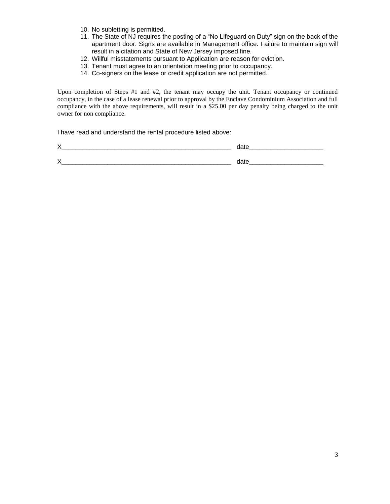- 10. No subletting is permitted.
- 11. The State of NJ requires the posting of a "No Lifeguard on Duty" sign on the back of the apartment door. Signs are available in Management office. Failure to maintain sign will result in a citation and State of New Jersey imposed fine.
- 12. Willful misstatements pursuant to Application are reason for eviction.
- 13. Tenant must agree to an orientation meeting prior to occupancy.
- 14. Co-signers on the lease or credit application are not permitted.

Upon completion of Steps #1 and #2, the tenant may occupy the unit. Tenant occupancy or continued occupancy, in the case of a lease renewal prior to approval by the Enclave Condominium Association and full compliance with the above requirements, will result in a \$25.00 per day penalty being charged to the unit owner for non compliance.

I have read and understand the rental procedure listed above: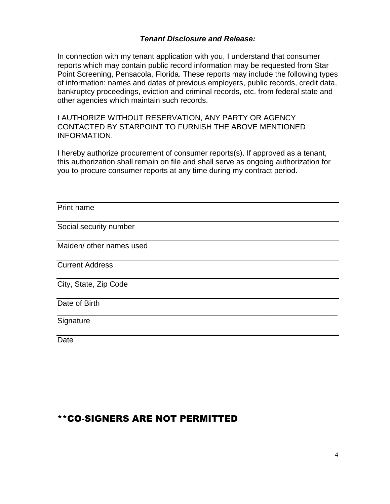# *Tenant Disclosure and Release:*

In connection with my tenant application with you, I understand that consumer reports which may contain public record information may be requested from Star Point Screening, Pensacola, Florida. These reports may include the following types of information: names and dates of previous employers, public records, credit data, bankruptcy proceedings, eviction and criminal records, etc. from federal state and other agencies which maintain such records.

I AUTHORIZE WITHOUT RESERVATION, ANY PARTY OR AGENCY CONTACTED BY STARPOINT TO FURNISH THE ABOVE MENTIONED INFORMATION.

I hereby authorize procurement of consumer reports(s). If approved as a tenant, this authorization shall remain on file and shall serve as ongoing authorization for you to procure consumer reports at any time during my contract period.

 $\overline{a}$  , and the contribution of the contribution of the contribution of the contribution of the contribution of  $\overline{a}$ 

# Print name

Social security number

Maiden/ other names used

Current Address

City, State, Zip Code

Date of Birth

Signature

Date

# \*\*CO-SIGNERS ARE NOT PERMITTED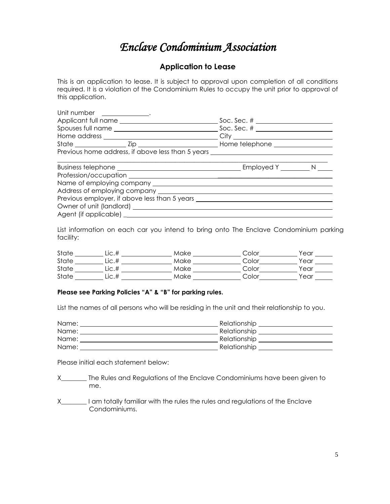# *Enclave Condominium Association*

# **Application to Lease**

This is an application to lease. It is subject to approval upon completion of all conditions required. It is a violation of the Condominium Rules to occupy the unit prior to approval of this application.

| Unit number _____________.                                                       |  |  |
|----------------------------------------------------------------------------------|--|--|
|                                                                                  |  |  |
| Previous home address, if above less than 5 years ______________________________ |  |  |
|                                                                                  |  |  |
|                                                                                  |  |  |
|                                                                                  |  |  |
| Address of employing company _________                                           |  |  |
| Previous employer, if above less than 5 years                                    |  |  |

List information on each car you intend to bring onto The Enclave Condominium parking facility:

| State | LİC.# | Make | Color | Year |
|-------|-------|------|-------|------|
| State | ∟ic.# | Make | Color | Year |
| State | ∟ic.# | Make | Color | Year |
| State | LİC.# | Make | Color | Year |

# **Please see Parking Policies "A" & "B" for parking rules.**

List the names of all persons who will be residing in the unit and their relationship to you.

| Name: | Relationship |
|-------|--------------|
| Name: | Relationship |
| Name: | Relationship |
| Name: | Relationship |

Please initial each statement below:

- X\_\_\_\_\_\_\_\_ The Rules and Regulations of the Enclave Condominiums have been given to me.
- X\_\_\_\_\_\_\_\_ I am totally familiar with the rules the rules and regulations of the Enclave Condominiums.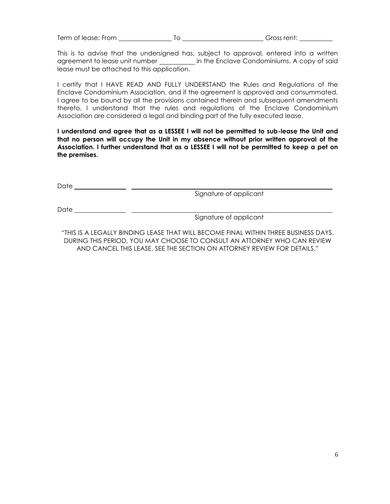Term of lease: From To Gross rent:

This is to advise that the undersigned has, subject to approval, entered into a written agreement to lease unit number \_\_\_\_\_\_\_\_\_ in the Enclave Condominiums. A copy of said lease must be attached to this application.

I certify that I HAVE READ AND FULLY UNDERSTAND the Rules and Regulations of the Enclave Condominium Association, and if the agreement is approved and consummated, I agree to be bound by all the provisions contained therein and subsequent amendments thereto. I understand that the rules and regulations of the Enclave Condominium Association are considered a legal and binding part of the fully executed lease.

**I understand and agree that as a LESSEE I will not be permitted to sub-lease the Unit and that no person will occupy the Unit in my absence without prior written approval of the Association. I further understand that as a LESSEE I will not be permitted to keep a pet on the premises.** 

Date Signature of applicant

Date that the contract of the contract of the contract of the contract of the contract of the contract of the contract of the contract of the contract of the contract of the contract of the contract of the contract of the

Signature of applicant

"THIS IS A LEGALLY BINDING LEASE THAT WILL BECOME FINAL WITHIN THREE BUSINESS DAYS. DURING THIS PERIOD, YOU MAY CHOOSE TO CONSULT AN ATTORNEY WHO CAN REVIEW AND CANCEL THIS LEASE, SEE THE SECTION ON ATTORNEY REVIEW FOR DETAILS."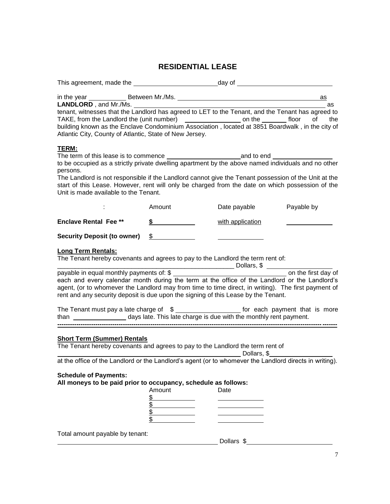# **RESIDENTIAL LEASE**

| This agreement, made the example and a state of day of example and a state of the state of the state of the state of the state of the state of the state of the state of the state of the state of the state of the state of t                                                                                                                                                                             |                                                        |                                |                       |
|------------------------------------------------------------------------------------------------------------------------------------------------------------------------------------------------------------------------------------------------------------------------------------------------------------------------------------------------------------------------------------------------------------|--------------------------------------------------------|--------------------------------|-----------------------|
| tenant, witnesses that the Landlord has agreed to LET to the Tenant, and the Tenant has agreed to<br>TAKE, from the Landlord the (unit number) _______________________ on the ________ floor<br>building known as the Enclave Condominium Association, located at 3851 Boardwalk, in the city of<br>Atlantic City, County of Atlantic, State of New Jersey.                                                |                                                        |                                | as<br>as<br>of<br>the |
| <b>TERM:</b><br>to be occupied as a strictly private dwelling apartment by the above named individuals and no other<br>persons.<br>The Landlord is not responsible if the Landlord cannot give the Tenant possession of the Unit at the<br>start of this Lease. However, rent will only be charged from the date on which possession of the<br>Unit is made available to the Tenant.                       |                                                        |                                |                       |
|                                                                                                                                                                                                                                                                                                                                                                                                            | Amount                                                 | Date payable <b>Payable by</b> |                       |
| <b>Enclave Rental Fee **</b>                                                                                                                                                                                                                                                                                                                                                                               | \$                                                     | with application               |                       |
| <b>Security Deposit (to owner)</b>                                                                                                                                                                                                                                                                                                                                                                         | \$                                                     |                                |                       |
| <b>Long Term Rentals:</b><br>The Tenant hereby covenants and agrees to pay to the Landlord the term rent of:<br>each and every calendar month during the term at the office of the Landlord or the Landlord's<br>agent, (or to whomever the Landlord may from time to time direct, in writing). The first payment of<br>rent and any security deposit is due upon the signing of this Lease by the Tenant. |                                                        |                                |                       |
| The Tenant must pay a late charge of $\text{ $s$}$ ______________________ for each payment that is more<br>than _____________________ days late. This late charge is due with the monthly rent payment.                                                                                                                                                                                                    |                                                        |                                |                       |
| <b>Short Term (Summer) Rentals</b><br>The Tenant hereby covenants and agrees to pay to the Landlord the term rent of<br>at the office of the Landlord or the Landlord's agent (or to whomever the Landlord directs in writing).<br><b>Schedule of Payments:</b><br>All moneys to be paid prior to occupancy, schedule as follows:                                                                          | Amount<br><u>\$</u><br>\$<br>$\overline{\mathfrak{s}}$ | Date                           |                       |
| Total amount payable by tenant:                                                                                                                                                                                                                                                                                                                                                                            |                                                        | Dollars \$                     |                       |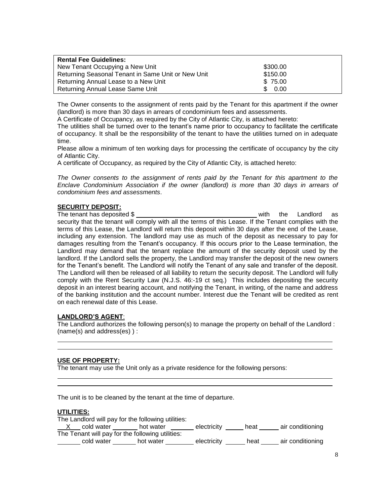| <b>Rental Fee Guidelines:</b>                      |             |
|----------------------------------------------------|-------------|
| New Tenant Occupying a New Unit                    | \$300.00    |
| Returning Seasonal Tenant in Same Unit or New Unit | \$150.00    |
| Returning Annual Lease to a New Unit               | \$75.00     |
| Returning Annual Lease Same Unit                   | 0.00<br>\$. |

The Owner consents to the assignment of rents paid by the Tenant for this apartment if the owner (landlord) is more than 30 days in arrears of condominium fees and assessments.

A Certificate of Occupancy, as required by the City of Atlantic City, is attached hereto:

The utilities shall be turned over to the tenant's name prior to occupancy to facilitate the certificate of occupancy. It shall be the responsibility of the tenant to have the utilities turned on in adequate time.

Please allow a minimum of ten working days for processing the certificate of occupancy by the city of Atlantic City.

A certificate of Occupancy, as required by the City of Atlantic City, is attached hereto:

*The Owner consents to the assignment of rents paid by the Tenant for this apartment to the Enclave Condominium Association if the owner (landlord) is more than 30 days in arrears of condominium fees and assessments*.

#### **SECURITY DEPOSIT:**

The tenant has deposited \$ with the Landlord as security that the tenant will comply with all the terms of this Lease. If the Tenant complies with the terms of this Lease, the Landlord will return this deposit within 30 days after the end of the Lease, including any extension. The landlord may use as much of the deposit as necessary to pay for damages resulting from the Tenant's occupancy. If this occurs prior to the Lease termination, the Landlord may demand that the tenant replace the amount of the security deposit used by the landlord. If the Landlord sells the property, the Landlord may transfer the deposit of the new owners for the Tenant's benefit. The Landlord will notify the Tenant of any sale and transfer of the deposit. The Landlord will then be released of all liability to return the security deposit. The Landlord will fully comply with the Rent Security Law (N.J.S. 46:-19 ct seq.) This includes depositing the security deposit in an interest bearing account, and notifying the Tenant, in writing, of the name and address of the banking institution and the account number. Interest due the Tenant will be credited as rent on each renewal date of this Lease.

#### **LANDLORD'S AGENT**:

The Landlord authorizes the following person(s) to manage the property on behalf of the Landlord : (name(s) and address(es) ) :

#### **USE OF PROPERTY:**

The tenant may use the Unit only as a private residence for the following persons:

The unit is to be cleaned by the tenant at the time of departure.

#### **UTILITIES:**

| The Landlord will pay for the following utilities: |           |             |      |                  |
|----------------------------------------------------|-----------|-------------|------|------------------|
| cold water                                         | hot water | electricity | heat | air conditioning |
| The Tenant will pay for the following utilities:   |           |             |      |                  |
| cold water                                         | hot water | electricity | heat | air conditioning |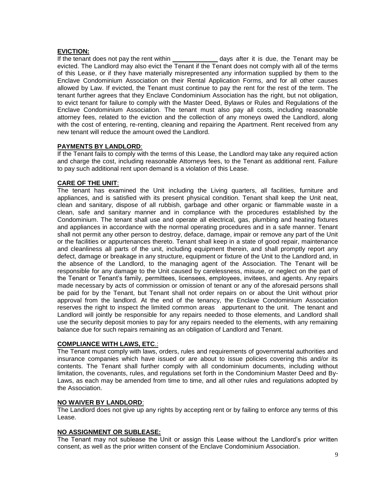## **EVICTION:**

If the tenant does not pay the rent within \_\_\_\_\_\_\_\_\_\_\_\_\_\_\_\_ days after it is due, the Tenant may be evicted. The Landlord may also evict the Tenant if the Tenant does not comply with all of the terms of this Lease, or if they have materially misrepresented any information supplied by them to the Enclave Condominium Association on their Rental Application Forms, and for all other causes allowed by Law. If evicted, the Tenant must continue to pay the rent for the rest of the term. The tenant further agrees that they Enclave Condominium Association has the right, but not obligation, to evict tenant for failure to comply with the Master Deed, Bylaws or Rules and Regulations of the Enclave Condominium Association. The tenant must also pay all costs, including reasonable attorney fees, related to the eviction and the collection of any moneys owed the Landlord, along with the cost of entering, re-renting, cleaning and repairing the Apartment. Rent received from any new tenant will reduce the amount owed the Landlord.

## **PAYMENTS BY LANDLORD**:

If the Tenant fails to comply with the terms of this Lease, the Landlord may take any required action and charge the cost, including reasonable Attorneys fees, to the Tenant as additional rent. Failure to pay such additional rent upon demand is a violation of this Lease.

## **CARE OF THE UNIT**:

The tenant has examined the Unit including the Living quarters, all facilities, furniture and appliances, and is satisfied with its present physical condition. Tenant shall keep the Unit neat, clean and sanitary, dispose of all rubbish, garbage and other organic or flammable waste in a clean, safe and sanitary manner and in compliance with the procedures established by the Condominium. The tenant shall use and operate all electrical, gas, plumbing and heating fixtures and appliances in accordance with the normal operating procedures and in a safe manner. Tenant shall not permit any other person to destroy, deface, damage, impair or remove any part of the Unit or the facilities or appurtenances thereto. Tenant shall keep in a state of good repair, maintenance and cleanliness all parts of the unit, including equipment therein, and shall promptly report any defect, damage or breakage in any structure, equipment or fixture of the Unit to the Landlord and, in the absence of the Landlord, to the managing agent of the Association. The Tenant will be responsible for any damage to the Unit caused by carelessness, misuse, or neglect on the part of the Tenant or Tenant's family, permittees, licensees, employees, invitees, and agents. Any repairs made necessary by acts of commission or omission of tenant or any of the aforesaid persons shall be paid for by the Tenant, but Tenant shall not order repairs on or about the Unit without prior approval from the landlord. At the end of the tenancy, the Enclave Condominium Association reserves the right to inspect the limited common areas appurtenant to the unit. The tenant and Landlord will jointly be responsible for any repairs needed to those elements, and Landlord shall use the security deposit monies to pay for any repairs needed to the elements, with any remaining balance due for such repairs remaining as an obligation of Landlord and Tenant.

## **COMPLIANCE WITH LAWS, ETC**.:

The Tenant must comply with laws, orders, rules and requirements of governmental authorities and insurance companies which have issued or are about to issue policies covering this and/or its contents. The Tenant shall further comply with all condominium documents, including without limitation, the covenants, rules, and regulations set forth in the Condominium Master Deed and By-Laws, as each may be amended from time to time, and all other rules and regulations adopted by the Association.

#### **NO WAIVER BY LANDLORD**:

The Landlord does not give up any rights by accepting rent or by failing to enforce any terms of this Lease.

# **NO ASSIGNMENT OR SUBLEASE:**

The Tenant may not sublease the Unit or assign this Lease without the Landlord's prior written consent, as well as the prior written consent of the Enclave Condominium Association.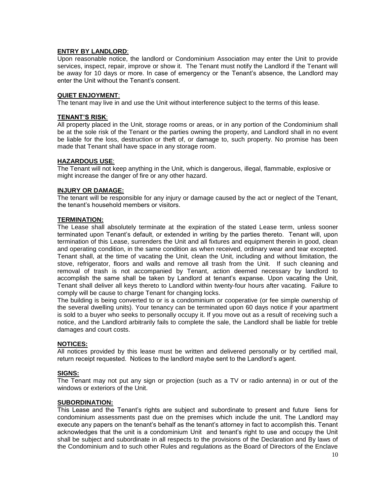## **ENTRY BY LANDLORD**:

Upon reasonable notice, the landlord or Condominium Association may enter the Unit to provide services, inspect, repair, improve or show it. The Tenant must notify the Landlord if the Tenant will be away for 10 days or more. In case of emergency or the Tenant's absence, the Landlord may enter the Unit without the Tenant's consent.

#### **QUIET ENJOYMENT**:

The tenant may live in and use the Unit without interference subject to the terms of this lease.

#### **TENANT'S RISK**:

All property placed in the Unit, storage rooms or areas, or in any portion of the Condominium shall be at the sole risk of the Tenant or the parties owning the property, and Landlord shall in no event be liable for the loss, destruction or theft of, or damage to, such property. No promise has been made that Tenant shall have space in any storage room.

#### **HAZARDOUS USE**:

The Tenant will not keep anything in the Unit, which is dangerous, illegal, flammable, explosive or might increase the danger of fire or any other hazard.

#### **INJURY OR DAMAGE:**

The tenant will be responsible for any injury or damage caused by the act or neglect of the Tenant, the tenant's household members or visitors.

#### **TERMINATION:**

The Lease shall absolutely terminate at the expiration of the stated Lease term, unless sooner terminated upon Tenant's default, or extended in writing by the parties thereto. Tenant will, upon termination of this Lease, surrenders the Unit and all fixtures and equipment therein in good, clean and operating condition, in the same condition as when received, ordinary wear and tear excepted. Tenant shall, at the time of vacating the Unit, clean the Unit, including and without limitation, the stove, refrigerator, floors and walls and remove all trash from the Unit. If such cleaning and removal of trash is not accompanied by Tenant, action deemed necessary by landlord to accomplish the same shall be taken by Landlord at tenant's expanse. Upon vacating the Unit, Tenant shall deliver all keys thereto to Landlord within twenty-four hours after vacating. Failure to comply will be cause to charge Tenant for changing locks.

The building is being converted to or is a condominium or cooperative (or fee simple ownership of the several dwelling units). Your tenancy can be terminated upon 60 days notice if your apartment is sold to a buyer who seeks to personally occupy it. If you move out as a result of receiving such a notice, and the Landlord arbitrarily fails to complete the sale, the Landlord shall be liable for treble damages and court costs.

#### **NOTICES:**

All notices provided by this lease must be written and delivered personally or by certified mail, return receipt requested. Notices to the landlord maybe sent to the Landlord's agent.

#### **SIGNS:**

The Tenant may not put any sign or projection (such as a TV or radio antenna) in or out of the windows or exteriors of the Unit.

#### **SUBORDINATION:**

This Lease and the Tenant's rights are subject and subordinate to present and future liens for condominium assessments past due on the premises which include the unit. The Landlord may execute any papers on the tenant's behalf as the tenant's attorney in fact to accomplish this. Tenant acknowledges that the unit is a condominium Unit and tenant's right to use and occupy the Unit shall be subject and subordinate in all respects to the provisions of the Declaration and By laws of the Condominium and to such other Rules and regulations as the Board of Directors of the Enclave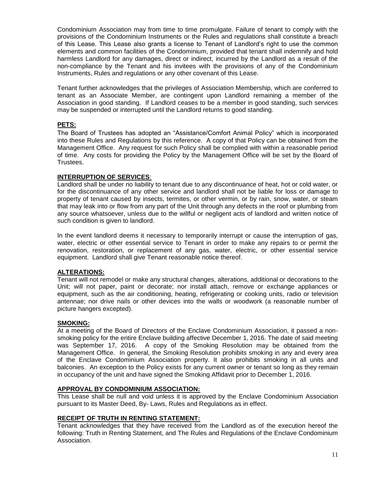Condominium Association may from time to time promulgate. Failure of tenant to comply with the provisions of the Condominium Instruments or the Rules and regulations shall constitute a breach of this Lease. This Lease also grants a license to Tenant of Landlord's right to use the common elements and common facilities of the Condominium, provided that tenant shall indemnify and hold harmless Landlord for any damages, direct or indirect, incurred by the Landlord as a result of the non-compliance by the Tenant and his invitees with the provisions of any of the Condominium Instruments, Rules and regulations or any other covenant of this Lease.

Tenant further acknowledges that the privileges of Association Membership, which are conferred to tenant as an Associate Member, are contingent upon Landlord remaining a member of the Association in good standing. If Landlord ceases to be a member in good standing, such services may be suspended or interrupted until the Landlord returns to good standing.

## **PETS:**

The Board of Trustees has adopted an "Assistance/Comfort Animal Policy" which is incorporated into these Rules and Regulations by this reference. A copy of that Policy can be obtained from the Management Office. Any request for such Policy shall be complied with within a reasonable period of time. Any costs for providing the Policy by the Management Office will be set by the Board of Trustees.

## **INTERRUPTION OF SERVICES**:

Landlord shall be under no liability to tenant due to any discontinuance of heat, hot or cold water, or for the discontinuance of any other service and landlord shall not be liable for loss or damage to property of tenant caused by insects, termites, or other vermin, or by rain, snow, water, or steam that may leak into or flow from any part of the Unit through any defects in the roof or plumbing from any source whatsoever, unless due to the willful or negligent acts of landlord and written notice of such condition is given to landlord.

In the event landlord deems it necessary to temporarily interrupt or cause the interruption of gas, water, electric or other essential service to Tenant in order to make any repairs to or permit the renovation, restoration, or replacement of any gas, water, electric, or other essential service equipment. Landlord shall give Tenant reasonable notice thereof.

# **ALTERATIONS:**

Tenant will not remodel or make any structural changes, alterations, additional or decorations to the Unit; will not paper, paint or decorate; nor install attach, remove or exchange appliances or equipment, such as the air conditioning, heating, refrigerating or cooking units, radio or television antennae; nor drive nails or other devices into the walls or woodwork (a reasonable number of picture hangers excepted).

#### **SMOKING:**

At a meeting of the Board of Directors of the Enclave Condominium Association, it passed a nonsmoking policy for the entire Enclave building affective December 1, 2016. The date of said meeting was September 17, 2016. A copy of the Smoking Resolution may be obtained from the Management Office. In general, the Smoking Resolution prohibits smoking in any and every area of the Enclave Condominium Association property. It also prohibits smoking in all units and balconies. An exception to the Policy exists for any current owner or tenant so long as they remain in occupancy of the unit and have signed the Smoking Affidavit prior to December 1, 2016.

#### **APPROVAL BY CONDOMINIUM ASSOCIATION:**

This Lease shall be null and void unless it is approved by the Enclave Condominium Association pursuant to its Master Deed, By- Laws, Rules and Regulations as in effect.

#### **RECEIPT OF TRUTH IN RENTING STATEMENT:**

Tenant acknowledges that they have received from the Landlord as of the execution hereof the following: Truth in Renting Statement, and The Rules and Regulations of the Enclave Condominium Association.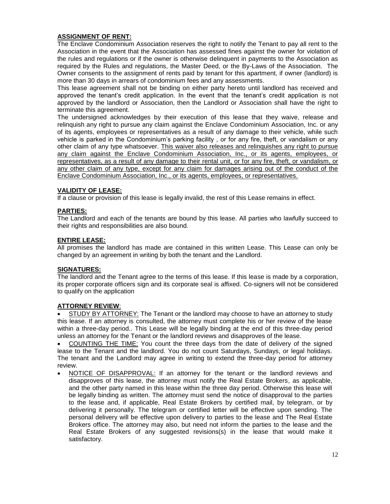# **ASSIGNMENT OF RENT:**

The Enclave Condominium Association reserves the right to notify the Tenant to pay all rent to the Association in the event that the Association has assessed fines against the owner for violation of the rules and regulations or if the owner is otherwise delinquent in payments to the Association as required by the Rules and regulations, the Master Deed, or the By-Laws of the Association. The Owner consents to the assignment of rents paid by tenant for this apartment, if owner (landlord) is more than 30 days in arrears of condominium fees and any assessments.

This lease agreement shall not be binding on either party hereto until landlord has received and approved the tenant's credit application. In the event that the tenant's credit application is not approved by the landlord or Association, then the Landlord or Association shall have the right to terminate this agreement.

The undersigned acknowledges by their execution of this lease that they waive, release and relinquish any right to pursue any claim against the Enclave Condominium Association, Inc. or any of its agents, employees or representatives as a result of any damage to their vehicle, while such vehicle is parked in the Condominium's parking facility , or for any fire, theft, or vandalism or any other claim of any type whatsoever. This waiver also releases and relinquishes any right to pursue any claim against the Enclave Condominium Association, Inc., or its agents, employees, or representatives, as a result of any damage to their rental unit, or for any fire, theft, or vandalism, or any other claim of any type, except for any claim for damages arising out of the conduct of the Enclave Condominium Association, Inc., or its agents, employees, or representatives.

# **VALIDITY OF LEASE:**

If a clause or provision of this lease is legally invalid, the rest of this Lease remains in effect.

## **PARTIES:**

The Landlord and each of the tenants are bound by this lease. All parties who lawfully succeed to their rights and responsibilities are also bound.

## **ENTIRE LEASE:**

All promises the landlord has made are contained in this written Lease. This Lease can only be changed by an agreement in writing by both the tenant and the Landlord.

#### **SIGNATURES:**

The landlord and the Tenant agree to the terms of this lease. If this lease is made by a corporation, its proper corporate officers sign and its corporate seal is affixed. Co-signers will not be considered to qualify on the application

# **ATTORNEY REVIEW**:

 STUDY BY ATTORNEY: The Tenant or the landlord may choose to have an attorney to study this lease. If an attorney is consulted, the attorney must complete his or her review of the lease within a three-day period.. This Lease will be legally binding at the end of this three-day period unless an attorney for the Tenant or the landlord reviews and disapproves of the lease.

 COUNTING THE TIME: You count the three days from the date of delivery of the signed lease to the Tenant and the landlord. You do not count Saturdays, Sundays, or legal holidays. The tenant and the Landlord may agree in writing to extend the three-day period for attorney review.

• NOTICE OF DISAPPROVAL: If an attorney for the tenant or the landlord reviews and disapproves of this lease, the attorney must notify the Real Estate Brokers, as applicable, and the other party named in this lease within the three day period. Otherwise this lease will be legally binding as written. The attorney must send the notice of disapproval to the parties to the lease and, if applicable, Real Estate Brokers by certified mail, by telegram, or by delivering it personally. The telegram or certified letter will be effective upon sending. The personal delivery will be effective upon delivery to parties to the lease and The Real Estate Brokers office. The attorney may also, but need not inform the parties to the lease and the Real Estate Brokers of any suggested revisions(s) in the lease that would make it satisfactory.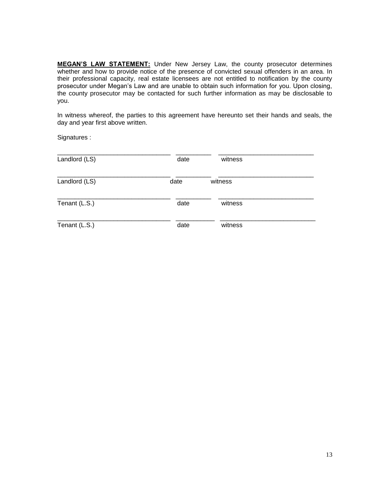**MEGAN'S LAW STATEMENT:** Under New Jersey Law, the county prosecutor determines whether and how to provide notice of the presence of convicted sexual offenders in an area. In their professional capacity, real estate licensees are not entitled to notification by the county prosecutor under Megan's Law and are unable to obtain such information for you. Upon closing, the county prosecutor may be contacted for such further information as may be disclosable to you.

In witness whereof, the parties to this agreement have hereunto set their hands and seals, the day and year first above written.

Signatures :

| Landlord (LS) | date | witness |  |
|---------------|------|---------|--|
| Landlord (LS) | date | witness |  |
| Tenant (L.S.) | date | witness |  |
| Tenant (L.S.) | date | witness |  |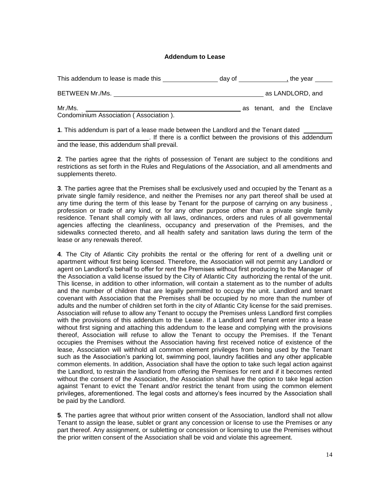#### **Addendum to Lease**

| This addendum to lease is made this               | day of |  | , the vear                 |
|---------------------------------------------------|--------|--|----------------------------|
| BETWEEN Mr./Ms.                                   |        |  | as LANDLORD, and           |
| Mr./Ms.<br>Condominium Association (Association). |        |  | as tenant, and the Enclave |

**1**. This addendum is part of a lease made between the Landlord and the Tenant dated

. If there is a conflict between the provisions of this addendum and the lease, this addendum shall prevail.

**2**. The parties agree that the rights of possession of Tenant are subject to the conditions and restrictions as set forth in the Rules and Regulations of the Association, and all amendments and supplements thereto.

**3**. The parties agree that the Premises shall be exclusively used and occupied by the Tenant as a private single family residence, and neither the Premises nor any part thereof shall be used at any time during the term of this lease by Tenant for the purpose of carrying on any business , profession or trade of any kind, or for any other purpose other than a private single family residence. Tenant shall comply with all laws, ordinances, orders and rules of all governmental agencies affecting the cleanliness, occupancy and preservation of the Premises, and the sidewalks connected thereto, and all health safety and sanitation laws during the term of the lease or any renewals thereof.

**4**. The City of Atlantic City prohibits the rental or the offering for rent of a dwelling unit or apartment without first being licensed. Therefore, the Association will not permit any Landlord or agent on Landlord's behalf to offer for rent the Premises without first producing to the Manager of the Association a valid license issued by the City of Atlantic City authorizing the rental of the unit. This license, in addition to other information, will contain a statement as to the number of adults and the number of children that are legally permitted to occupy the unit. Landlord and tenant covenant with Association that the Premises shall be occupied by no more than the number of adults and the number of children set forth in the city of Atlantic City license for the said premises. Association will refuse to allow any Tenant to occupy the Premises unless Landlord first complies with the provisions of this addendum to the Lease. If a Landlord and Tenant enter into a lease without first signing and attaching this addendum to the lease and complying with the provisions thereof, Association will refuse to allow the Tenant to occupy the Premises. If the Tenant occupies the Premises without the Association having first received notice of existence of the lease, Association will withhold all common element privileges from being used by the Tenant such as the Association's parking lot, swimming pool, laundry facilities and any other applicable common elements. In addition, Association shall have the option to take such legal action against the Landlord, to restrain the landlord from offering the Premises for rent and if it becomes rented without the consent of the Association, the Association shall have the option to take legal action against Tenant to evict the Tenant and/or restrict the tenant from using the common element privileges, aforementioned. The legal costs and attorney's fees incurred by the Association shall be paid by the Landlord.

**5**. The parties agree that without prior written consent of the Association, landlord shall not allow Tenant to assign the lease, sublet or grant any concession or license to use the Premises or any part thereof. Any assignment, or subletting or concession or licensing to use the Premises without the prior written consent of the Association shall be void and violate this agreement.